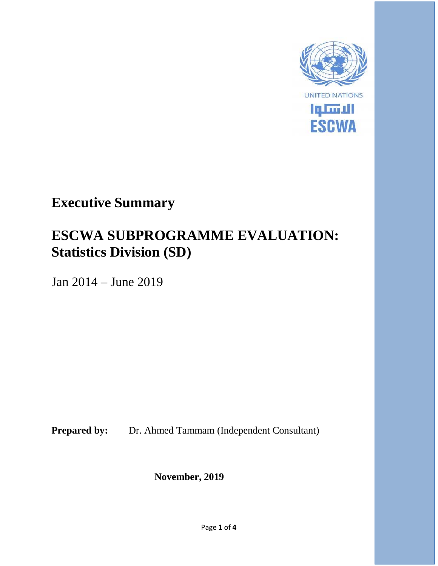

# **Executive Summary**

# **ESCWA SUBPROGRAMME EVALUATION: Statistics Division (SD)**

Jan 2014 – June 2019

**Prepared by:** Dr. Ahmed Tammam (Independent Consultant)

**November, 2019**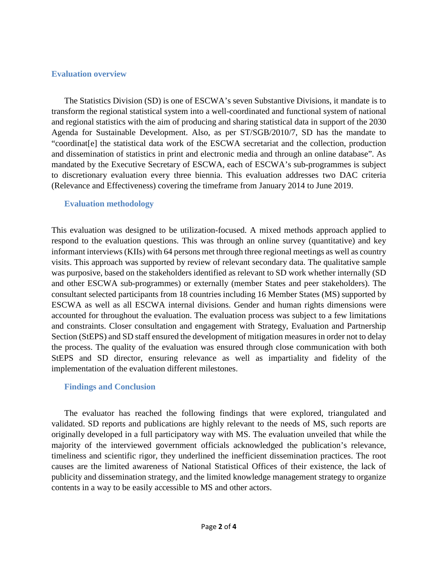#### **Evaluation overview**

The Statistics Division (SD) is one of ESCWA's seven Substantive Divisions, it mandate is to transform the regional statistical system into a well-coordinated and functional system of national and regional statistics with the aim of producing and sharing statistical data in support of the 2030 Agenda for Sustainable Development. Also, as per ST/SGB/2010/7, SD has the mandate to "coordinat[e] the statistical data work of the ESCWA secretariat and the collection, production and dissemination of statistics in print and electronic media and through an online database". As mandated by the Executive Secretary of ESCWA, each of ESCWA's sub-programmes is subject to discretionary evaluation every three biennia. This evaluation addresses two DAC criteria (Relevance and Effectiveness) covering the timeframe from January 2014 to June 2019.

#### **Evaluation methodology**

This evaluation was designed to be utilization-focused. A mixed methods approach applied to respond to the evaluation questions. This was through an online survey (quantitative) and key informant interviews (KIIs) with 64 persons met through three regional meetings as well as country visits. This approach was supported by review of relevant secondary data. The qualitative sample was purposive, based on the stakeholders identified as relevant to SD work whether internally (SD and other ESCWA sub-programmes) or externally (member States and peer stakeholders). The consultant selected participants from 18 countries including 16 Member States (MS) supported by ESCWA as well as all ESCWA internal divisions. Gender and human rights dimensions were accounted for throughout the evaluation. The evaluation process was subject to a few limitations and constraints. Closer consultation and engagement with Strategy, Evaluation and Partnership Section (StEPS) and SD staff ensured the development of mitigation measures in order not to delay the process. The quality of the evaluation was ensured through close communication with both StEPS and SD director, ensuring relevance as well as impartiality and fidelity of the implementation of the evaluation different milestones.

### **Findings and Conclusion**

The evaluator has reached the following findings that were explored, triangulated and validated. SD reports and publications are highly relevant to the needs of MS, such reports are originally developed in a full participatory way with MS. The evaluation unveiled that while the majority of the interviewed government officials acknowledged the publication's relevance, timeliness and scientific rigor, they underlined the inefficient dissemination practices. The root causes are the limited awareness of National Statistical Offices of their existence, the lack of publicity and dissemination strategy, and the limited knowledge management strategy to organize contents in a way to be easily accessible to MS and other actors.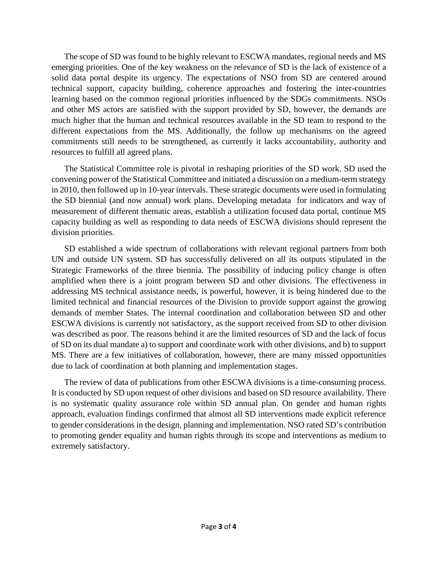The scope of SD was found to be highly relevant to ESCWA mandates, regional needs and MS emerging priorities. One of the key weakness on the relevance of SD is the lack of existence of a solid data portal despite its urgency. The expectations of NSO from SD are centered around technical support, capacity building, coherence approaches and fostering the inter-countries learning based on the common regional priorities influenced by the SDGs commitments. NSOs and other MS actors are satisfied with the support provided by SD, however, the demands are much higher that the human and technical resources available in the SD team to respond to the different expectations from the MS. Additionally, the follow up mechanisms on the agreed commitments still needs to be strengthened, as currently it lacks accountability, authority and resources to fulfill all agreed plans.

The Statistical Committee role is pivotal in reshaping priorities of the SD work. SD used the convening power of the Statistical Committee and initiated a discussion on a medium-term strategy in 2010, then followed up in 10-year intervals. These strategic documents were used in formulating the SD biennial (and now annual) work plans. Developing metadata for indicators and way of measurement of different thematic areas, establish a utilization focused data portal, continue MS capacity building as well as responding to data needs of ESCWA divisions should represent the division priorities.

SD established a wide spectrum of collaborations with relevant regional partners from both UN and outside UN system. SD has successfully delivered on all its outputs stipulated in the Strategic Frameworks of the three biennia. The possibility of inducing policy change is often amplified when there is a joint program between SD and other divisions. The effectiveness in addressing MS technical assistance needs, is powerful, however, it is being hindered due to the limited technical and financial resources of the Division to provide support against the growing demands of member States. The internal coordination and collaboration between SD and other ESCWA divisions is currently not satisfactory, as the support received from SD to other division was described as poor. The reasons behind it are the limited resources of SD and the lack of focus of SD on its dual mandate a) to support and coordinate work with other divisions, and b) to support MS. There are a few initiatives of collaboration, however, there are many missed opportunities due to lack of coordination at both planning and implementation stages.

The review of data of publications from other ESCWA divisions is a time-consuming process. It is conducted by SD upon request of other divisions and based on SD resource availability. There is no systematic quality assurance role within SD annual plan. On gender and human rights approach, evaluation findings confirmed that almost all SD interventions made explicit reference to gender considerations in the design, planning and implementation. NSO rated SD's contribution to promoting gender equality and human rights through its scope and interventions as medium to extremely satisfactory.